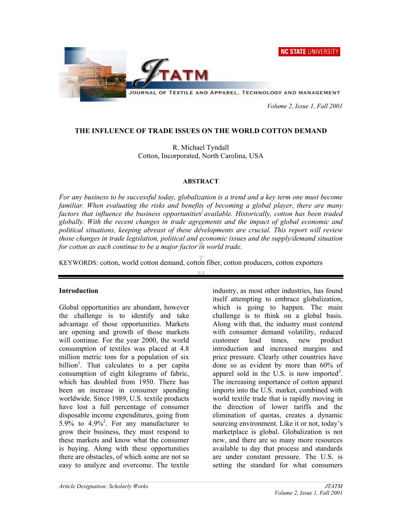**NC STATE UNIVERSITY** 



 *Volume 2, Issue 1, Fall 2001* 

### **THE INFLUENCE OF TRADE ISSUES ON THE WORLD COTTON DEMAND**

R. Michael Tyndall Cotton, Incorporated, North Carolina, USA

#### **ABSTRACT**

*For any business to be successful today, globalization is a trend and a key term one must become familiar. When evaluating the risks and benefits of becoming a global player, there are many factors that influence the business opportunities available. Historically, cotton has been traded globally. With the recent changes in trade agreements and the impact of global economic and political situations, keeping abreast of these developments are crucial. This report will review those changes in trade legislation, political and economic issues and the supply/demand situation for cotton as each continue to be a major factor in world trade.* 

KEYWORDS: cotton, world cotton demand, cotton fiber, cotton producers, cotton exporters

### **Introduction**

Global opportunities are abundant, however the challenge is to identify and take advantage of those opportunities. Markets are opening and growth of those markets will continue. For the year 2000, the world consumption of textiles was placed at 4.8 million metric tons for a population of six billion<sup>1</sup>. That calculates to a per capita consumption of eight kilograms of fabric, which has doubled from 1950. There has been an increase in consumer spending worldwide. Since 1989, U.S. textile products have lost a full percentage of consumer disposable income expenditures, going from 5.9% to  $4.9\%$ <sup>2</sup>. For any manufacturer to grow their business, they must respond to these markets and know what the consumer is buying. Along with these opportunities there are obstacles, of which some are not so easy to analyze and overcome. The textile

industry, as most other industries, has found itself attempting to embrace globalization, which is going to happen. The main challenge is to think on a global basis. Along with that, the industry must contend with consumer demand volatility, reduced customer lead times, new product introduction and increased margins and price pressure. Clearly other countries have done so as evident by more than 60% of apparel sold in the U.S. is now imported<sup>3</sup>. The increasing importance of cotton apparel imports into the U.S. market, combined with world textile trade that is rapidly moving in the direction of lower tariffs and the elimination of quotas, creates a dynamic sourcing environment. Like it or not, today's marketplace is global. Globalization is not new, and there are so many more resources available to day that process and standards are under constant pressure. The U.S. is setting the standard for what consumers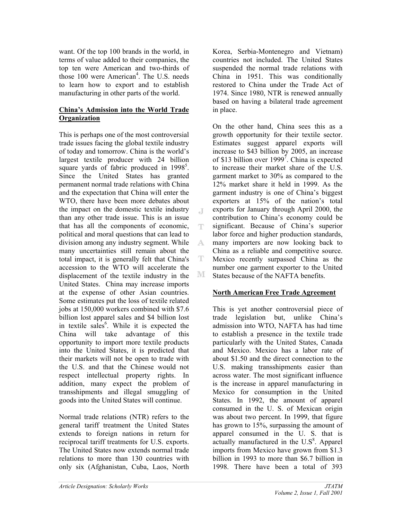want. Of the top 100 brands in the world, in terms of value added to their companies, the top ten were American and two-thirds of those 100 were American<sup>4</sup>. The U.S. needs to learn how to export and to establish manufacturing in other parts of the world.

### **China's Admission into the World Trade Organization**

This is perhaps one of the most controversial trade issues facing the global textile industry of today and tomorrow. China is the world's largest textile producer with 24 billion square yards of fabric produced in  $1998^5$ . Since the United States has granted permanent normal trade relations with China and the expectation that China will enter the WTO, there have been more debates about the impact on the domestic textile industry than any other trade issue. This is an issue that has all the components of economic, political and moral questions that can lead to division among any industry segment. While many uncertainties still remain about the total impact, it is generally felt that China's accession to the WTO will accelerate the displacement of the textile industry in the United States. China may increase imports at the expense of other Asian countries. Some estimates put the loss of textile related jobs at 150,000 workers combined with \$7.6 billion lost apparel sales and \$4 billion lost in textile sales<sup>6</sup>. While it is expected the China will take advantage of this opportunity to import more textile products into the United States, it is predicted that their markets will not be open to trade with the U.S. and that the Chinese would not respect intellectual property rights. In addition, many expect the problem of transshipments and illegal smuggling of goods into the United States will continue.

Normal trade relations (NTR) refers to the general tariff treatment the United States extends to foreign nations in return for reciprocal tariff treatments for U.S. exports. The United States now extends normal trade relations to more than 130 countries with only six (Afghanistan, Cuba, Laos, North

Korea, Serbia-Montenegro and Vietnam) countries not included. The United States suspended the normal trade relations with China in 1951. This was conditionally restored to China under the Trade Act of 1974. Since 1980, NTR is renewed annually based on having a bilateral trade agreement in place.

On the other hand, China sees this as a growth opportunity for their textile sector. Estimates suggest apparel exports will increase to \$43 billion by 2005, an increase of \$13 billion over 1999<sup>7</sup>. China is expected to increase their market share of the U.S. garment market to 30% as compared to the 12% market share it held in 1999. As the garment industry is one of China's biggest exporters at 15% of the nation's total exports for January through April 2000, the contribution to China's economy could be significant. Because of China's superior labor force and higher production standards, many importers are now looking back to China as a reliable and competitive source. Mexico recently surpassed China as the number one garment exporter to the United States because of the NAFTA benefits.

 $\Box$ 

ΤР.

A.

T

М

### **North American Free Trade Agreement**

This is yet another controversial piece of trade legislation but, unlike China's admission into WTO, NAFTA has had time to establish a presence in the textile trade particularly with the United States, Canada and Mexico. Mexico has a labor rate of about \$1.50 and the direct connection to the U.S. making transshipments easier than across water. The most significant influence is the increase in apparel manufacturing in Mexico for consumption in the United States. In 1992, the amount of apparel consumed in the U. S. of Mexican origin was about two percent. In 1999, that figure has grown to 15%, surpassing the amount of apparel consumed in the U. S. that is  $\arctan{y}$  manufactured in the U.S $\rm{s}$ . Apparel imports from Mexico have grown from \$1.3 billion in 1993 to more than \$6.7 billion in 1998. There have been a total of 393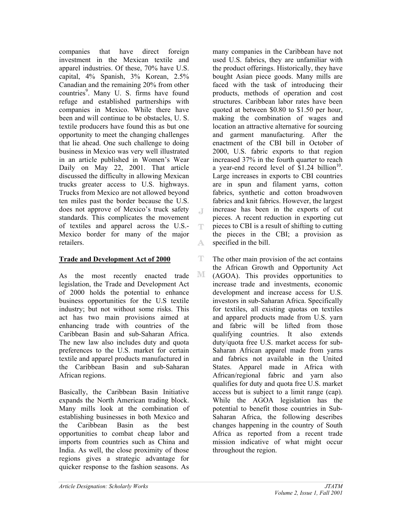companies that have direct foreign investment in the Mexican textile and apparel industries. Of these, 70% have U.S. capital, 4% Spanish, 3% Korean, 2.5% Canadian and the remaining 20% from other countries<sup>9</sup>. Many U. S. firms have found refuge and established partnerships with companies in Mexico. While there have been and will continue to be obstacles, U. S. textile producers have found this as but one opportunity to meet the changing challenges that lie ahead. One such challenge to doing business in Mexico was very well illustrated in an article published in Women's Wear Daily on May 22, 2001. That article discussed the difficulty in allowing Mexican trucks greater access to U.S. highways. Trucks from Mexico are not allowed beyond ten miles past the border because the U.S. does not approve of Mexico's truck safety standards. This complicates the movement of textiles and apparel across the U.S.- Mexico border for many of the major retailers.

 $\Box$ 

T

A.

ΤЧ.

M

### **Trade and Development Act of 2000**

As the most recently enacted trade legislation, the Trade and Development Act of 2000 holds the potential to enhance business opportunities for the U.S textile industry; but not without some risks. This act has two main provisions aimed at enhancing trade with countries of the Caribbean Basin and sub-Saharan Africa. The new law also includes duty and quota preferences to the U.S. market for certain textile and apparel products manufactured in the Caribbean Basin and sub-Saharan African regions.

Basically, the Caribbean Basin Initiative expands the North American trading block. Many mills look at the combination of establishing businesses in both Mexico and the Caribbean Basin as the best opportunities to combat cheap labor and imports from countries such as China and India. As well, the close proximity of those regions gives a strategic advantage for quicker response to the fashion seasons. As

many companies in the Caribbean have not used U.S. fabrics, they are unfamiliar with the product offerings. Historically, they have bought Asian piece goods. Many mills are faced with the task of introducing their products, methods of operation and cost structures. Caribbean labor rates have been quoted at between \$0.80 to \$1.50 per hour, making the combination of wages and location an attractive alternative for sourcing and garment manufacturing. After the enactment of the CBI bill in October of 2000, U.S. fabric exports to that region increased 37% in the fourth quarter to reach a year-end record level of  $$1.24$  billion<sup>10</sup>. Large increases in exports to CBI countries are in spun and filament yarns, cotton fabrics, synthetic and cotton broadwoven fabrics and knit fabrics. However, the largest increase has been in the exports of cut pieces. A recent reduction in exporting cut pieces to CBI is a result of shifting to cutting the pieces in the CBI; a provision as specified in the bill.

The other main provision of the act contains the African Growth and Opportunity Act (AGOA). This provides opportunities to increase trade and investments, economic development and increase access for U.S. investors in sub-Saharan Africa. Specifically for textiles, all existing quotas on textiles and apparel products made from U.S. yarn and fabric will be lifted from those qualifying countries. It also extends duty/quota free U.S. market access for sub-Saharan African apparel made from yarns and fabrics not available in the United States. Apparel made in Africa with African/regional fabric and yarn also qualifies for duty and quota free U.S. market access but is subject to a limit range (cap). While the AGOA legislation has the potential to benefit those countries in Sub-Saharan Africa, the following describes changes happening in the country of South Africa as reported from a recent trade mission indicative of what might occur throughout the region.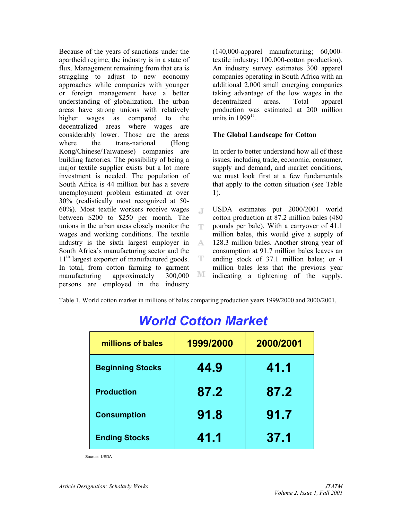Because of the years of sanctions under the apartheid regime, the industry is in a state of flux. Management remaining from that era is struggling to adjust to new economy approaches while companies with younger or foreign management have a better understanding of globalization. The urban areas have strong unions with relatively higher wages as compared to the decentralized areas where wages are considerably lower. Those are the areas where the trans-national (Hong Kong/Chinese/Taiwanese) companies are building factories. The possibility of being a major textile supplier exists but a lot more investment is needed. The population of South Africa is 44 million but has a severe unemployment problem estimated at over 30% (realistically most recognized at 50- 60%). Most textile workers receive wages between \$200 to \$250 per month. The unions in the urban areas closely monitor the wages and working conditions. The textile industry is the sixth largest employer in South Africa's manufacturing sector and the 11<sup>th</sup> largest exporter of manufactured goods. In total, from cotton farming to garment manufacturing approximately 300,000 persons are employed in the industry

(140,000-apparel manufacturing; 60,000 textile industry; 100,000-cotton production). An industry survey estimates 300 apparel companies operating in South Africa with an additional 2,000 small emerging companies taking advantage of the low wages in the decentralized areas. Total apparel production was estimated at 200 million units in  $1999<sup>11</sup>$ .

### **The Global Landscape for Cotton**

In order to better understand how all of these issues, including trade, economic, consumer, supply and demand, and market conditions, we must look first at a few fundamentals that apply to the cotton situation (see Table 1).

USDA estimates put 2000/2001 world  $\Box$ cotton production at 87.2 million bales (480 pounds per bale). With a carryover of 41.1 ΤР. million bales, this would give a supply of 128.3 million bales. Another strong year of A. consumption at 91.7 million bales leaves an T ending stock of 37.1 million bales; or 4 million bales less that the previous year M indicating a tightening of the supply.

Table 1. World cotton market in millions of bales comparing production years 1999/2000 and 2000/2001.

| millions of bales       | 1999/2000 | 2000/2001 |  |
|-------------------------|-----------|-----------|--|
| <b>Beginning Stocks</b> | 44.9      | 41.1      |  |
| <b>Production</b>       | 87.2      | 87.2      |  |
| <b>Consumption</b>      | 91.8      | 91.7      |  |
| <b>Ending Stocks</b>    | 41.1      | 37.1      |  |

## *World Cotton Market*

Source: USDA Source: USDA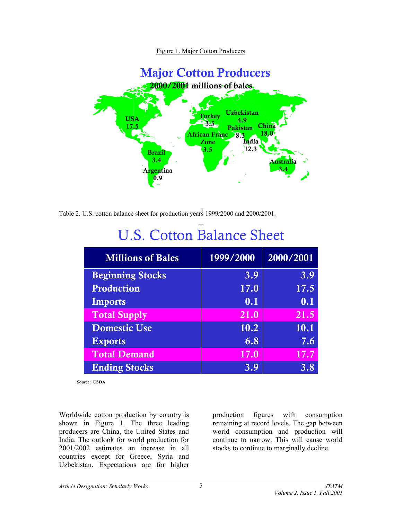Figure 1. Major Cotton Producers



Table 2. U.S. cotton balance sheet for production years 1999/2000 and 2000/2001.

| <b>Millions of Bales</b> | 1999/2000 | 2000/2001 |
|--------------------------|-----------|-----------|
| <b>Beginning Stocks</b>  | 3.9       | 3.9       |
| Production               | 17.0      | 17.5      |
| <b>Imports</b>           | 0.1       | 0.1       |
| <b>Total Supply</b>      | 21.0      | 21.5      |
| <b>Domestic Use</b>      | 10.2      | 10.1      |
| <b>Exports</b>           | 6.8       | 7.6       |
| <b>Total Demand</b>      | 17.0      | 17.7      |
| <b>Ending Stocks</b>     | 3.9       | 3.8       |

# U.S. Cotton Balance Sheet

Source: USDA

Worldwide cotton production by country is shown in Figure 1. The three leading producers are China, the United States and India. The outlook for world production for 2001/2002 estimates an increase in all countries except for Greece, Syria and Uzbekistan. Expectations are for higher

production figures with consumption remaining at record levels. The gap between world consumption and production will continue to narrow. This will cause world stocks to continue to marginally decline.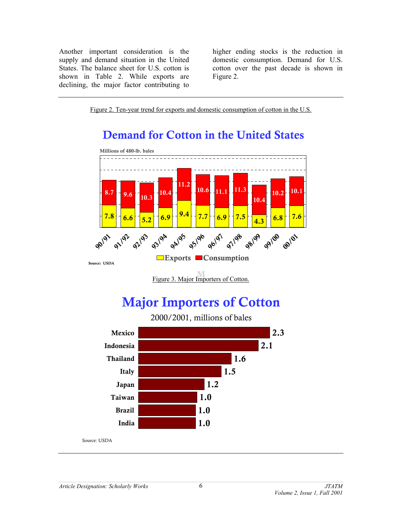Another important consideration is the supply and demand situation in the United States. The balance sheet for U.S. cotton is shown in Table 2. While exports are declining, the major factor contributing to

higher ending stocks is the reduction in domestic consumption. Demand for U.S. cotton over the past decade is shown in Figure 2.

Figure 2. Ten-year trend for exports and domestic consumption of cotton in the U.S.

### Demand for Cotton in the United States



Figure 3. Major Importers of Cotton.

## Major Importers of Cotton

2000/2001, millions of bales

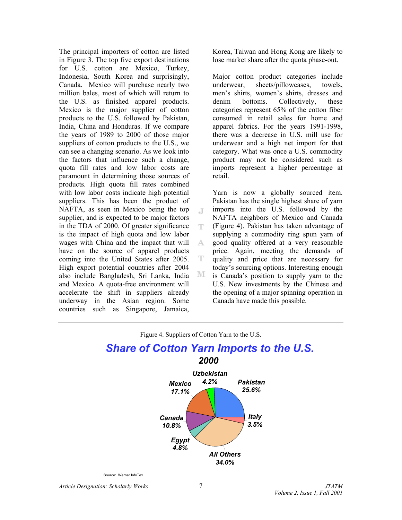The principal importers of cotton are listed in Figure 3. The top five export destinations for U.S. cotton are Mexico, Turkey, Indonesia, South Korea and surprisingly, Canada. Mexico will purchase nearly two million bales, most of which will return to the U.S. as finished apparel products. Mexico is the major supplier of cotton products to the U.S. followed by Pakistan, India, China and Honduras. If we compare the years of 1989 to 2000 of those major suppliers of cotton products to the U.S., we can see a changing scenario. As we look into the factors that influence such a change, quota fill rates and low labor costs are paramount in determining those sources of products. High quota fill rates combined with low labor costs indicate high potential suppliers. This has been the product of NAFTA, as seen in Mexico being the top supplier, and is expected to be major factors in the TDA of 2000. Of greater significance is the impact of high quota and low labor wages with China and the impact that will have on the source of apparel products coming into the United States after 2005. High export potential countries after 2004 also include Bangladesh, Sri Lanka, India and Mexico. A quota-free environment will accelerate the shift in suppliers already underway in the Asian region. Some countries such as Singapore, Jamaica,

Korea, Taiwan and Hong Kong are likely to lose market share after the quota phase-out.

Major cotton product categories include underwear, sheets/pillowcases, towels, men's shirts, women's shirts, dresses and denim bottoms. Collectively, these categories represent 65% of the cotton fiber consumed in retail sales for home and apparel fabrics. For the years 1991-1998, there was a decrease in U.S. mill use for underwear and a high net import for that category. What was once a U.S. commodity product may not be considered such as imports represent a higher percentage at retail.

Yarn is now a globally sourced item. Pakistan has the single highest share of yarn imports into the U.S. followed by the NAFTA neighbors of Mexico and Canada (Figure 4). Pakistan has taken advantage of supplying a commodity ring spun yarn of good quality offered at a very reasonable price. Again, meeting the demands of quality and price that are necessary for today's sourcing options. Interesting enough is Canada's position to supply yarn to the U.S. New investments by the Chinese and the opening of a major spinning operation in Canada have made this possible.



 $\Box$ 

ΤР.

A.

T

M